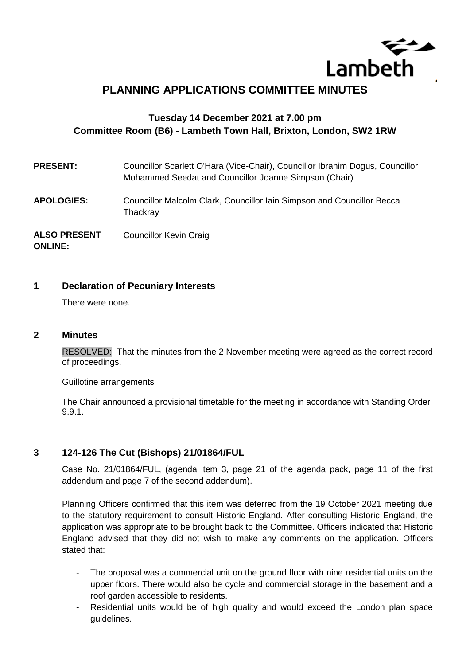

# **PLANNING APPLICATIONS COMMITTEE MINUTES**

# **Tuesday 14 December 2021 at 7.00 pm Committee Room (B6) - Lambeth Town Hall, Brixton, London, SW2 1RW**

| <b>PRESENT:</b>                       | Councillor Scarlett O'Hara (Vice-Chair), Councillor Ibrahim Dogus, Councillor<br>Mohammed Seedat and Councillor Joanne Simpson (Chair) |
|---------------------------------------|----------------------------------------------------------------------------------------------------------------------------------------|
| <b>APOLOGIES:</b>                     | Councillor Malcolm Clark, Councillor Iain Simpson and Councillor Becca<br>Thackray                                                     |
| <b>ALSO PRESENT</b><br><b>ONLINE:</b> | <b>Councillor Kevin Craig</b>                                                                                                          |

#### **1 Declaration of Pecuniary Interests**

There were none.

#### **2 Minutes**

RESOLVED: That the minutes from the 2 November meeting were agreed as the correct record of proceedings.

Guillotine arrangements

The Chair announced a provisional timetable for the meeting in accordance with Standing Order 9.9.1.

### **3 124-126 The Cut (Bishops) 21/01864/FUL**

Case No. 21/01864/FUL, (agenda item 3, page 21 of the agenda pack, page 11 of the first addendum and page 7 of the second addendum).

Planning Officers confirmed that this item was deferred from the 19 October 2021 meeting due to the statutory requirement to consult Historic England. After consulting Historic England, the application was appropriate to be brought back to the Committee. Officers indicated that Historic England advised that they did not wish to make any comments on the application. Officers stated that:

- The proposal was a commercial unit on the ground floor with nine residential units on the upper floors. There would also be cycle and commercial storage in the basement and a roof garden accessible to residents.
- Residential units would be of high quality and would exceed the London plan space guidelines.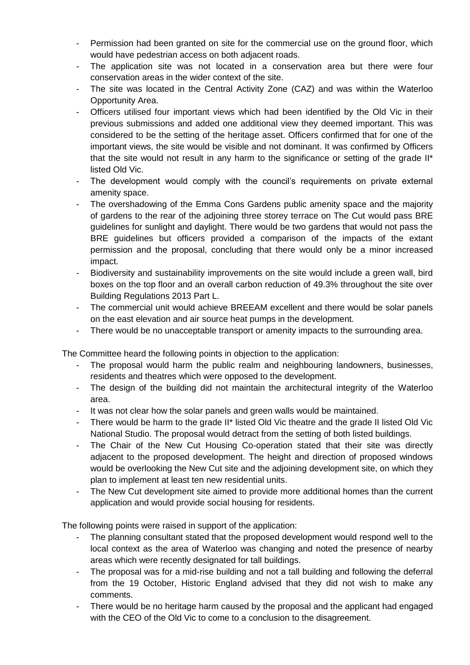- Permission had been granted on site for the commercial use on the ground floor, which would have pedestrian access on both adjacent roads.
- The application site was not located in a conservation area but there were four conservation areas in the wider context of the site.
- The site was located in the Central Activity Zone (CAZ) and was within the Waterloo Opportunity Area.
- Officers utilised four important views which had been identified by the Old Vic in their previous submissions and added one additional view they deemed important. This was considered to be the setting of the heritage asset. Officers confirmed that for one of the important views, the site would be visible and not dominant. It was confirmed by Officers that the site would not result in any harm to the significance or setting of the grade II\* listed Old Vic.
- The development would comply with the council's requirements on private external amenity space.
- The overshadowing of the Emma Cons Gardens public amenity space and the majority of gardens to the rear of the adjoining three storey terrace on The Cut would pass BRE guidelines for sunlight and daylight. There would be two gardens that would not pass the BRE guidelines but officers provided a comparison of the impacts of the extant permission and the proposal, concluding that there would only be a minor increased impact.
- Biodiversity and sustainability improvements on the site would include a green wall, bird boxes on the top floor and an overall carbon reduction of 49.3% throughout the site over Building Regulations 2013 Part L.
- The commercial unit would achieve BREEAM excellent and there would be solar panels on the east elevation and air source heat pumps in the development.
- There would be no unacceptable transport or amenity impacts to the surrounding area.

The Committee heard the following points in objection to the application:

- The proposal would harm the public realm and neighbouring landowners, businesses, residents and theatres which were opposed to the development.
- The design of the building did not maintain the architectural integrity of the Waterloo area.
- It was not clear how the solar panels and green walls would be maintained.
- There would be harm to the grade II\* listed Old Vic theatre and the grade II listed Old Vic National Studio. The proposal would detract from the setting of both listed buildings.
- The Chair of the New Cut Housing Co-operation stated that their site was directly adjacent to the proposed development. The height and direction of proposed windows would be overlooking the New Cut site and the adjoining development site, on which they plan to implement at least ten new residential units.
- The New Cut development site aimed to provide more additional homes than the current application and would provide social housing for residents.

The following points were raised in support of the application:

- The planning consultant stated that the proposed development would respond well to the local context as the area of Waterloo was changing and noted the presence of nearby areas which were recently designated for tall buildings.
- The proposal was for a mid-rise building and not a tall building and following the deferral from the 19 October, Historic England advised that they did not wish to make any comments.
- There would be no heritage harm caused by the proposal and the applicant had engaged with the CEO of the Old Vic to come to a conclusion to the disagreement.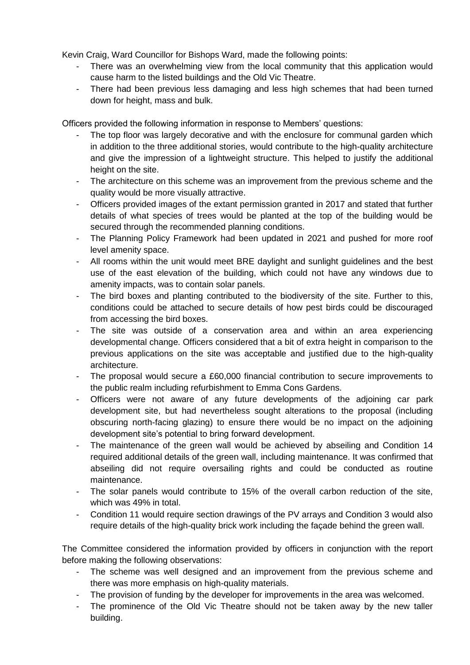Kevin Craig, Ward Councillor for Bishops Ward, made the following points:

- There was an overwhelming view from the local community that this application would cause harm to the listed buildings and the Old Vic Theatre.
- There had been previous less damaging and less high schemes that had been turned down for height, mass and bulk.

Officers provided the following information in response to Members' questions:

- The top floor was largely decorative and with the enclosure for communal garden which in addition to the three additional stories, would contribute to the high-quality architecture and give the impression of a lightweight structure. This helped to justify the additional height on the site.
- The architecture on this scheme was an improvement from the previous scheme and the quality would be more visually attractive.
- Officers provided images of the extant permission granted in 2017 and stated that further details of what species of trees would be planted at the top of the building would be secured through the recommended planning conditions.
- The Planning Policy Framework had been updated in 2021 and pushed for more roof level amenity space.
- All rooms within the unit would meet BRE daylight and sunlight guidelines and the best use of the east elevation of the building, which could not have any windows due to amenity impacts, was to contain solar panels.
- The bird boxes and planting contributed to the biodiversity of the site. Further to this, conditions could be attached to secure details of how pest birds could be discouraged from accessing the bird boxes.
- The site was outside of a conservation area and within an area experiencing developmental change. Officers considered that a bit of extra height in comparison to the previous applications on the site was acceptable and justified due to the high-quality architecture.
- The proposal would secure a  $£60,000$  financial contribution to secure improvements to the public realm including refurbishment to Emma Cons Gardens.
- Officers were not aware of any future developments of the adjoining car park development site, but had nevertheless sought alterations to the proposal (including obscuring north-facing glazing) to ensure there would be no impact on the adjoining development site's potential to bring forward development.
- The maintenance of the green wall would be achieved by abseiling and Condition 14 required additional details of the green wall, including maintenance. It was confirmed that abseiling did not require oversailing rights and could be conducted as routine maintenance.
- The solar panels would contribute to 15% of the overall carbon reduction of the site, which was 49% in total.
- Condition 11 would require section drawings of the PV arrays and Condition 3 would also require details of the high-quality brick work including the façade behind the green wall.

The Committee considered the information provided by officers in conjunction with the report before making the following observations:

- The scheme was well designed and an improvement from the previous scheme and there was more emphasis on high-quality materials.
- The provision of funding by the developer for improvements in the area was welcomed.
- The prominence of the Old Vic Theatre should not be taken away by the new taller building.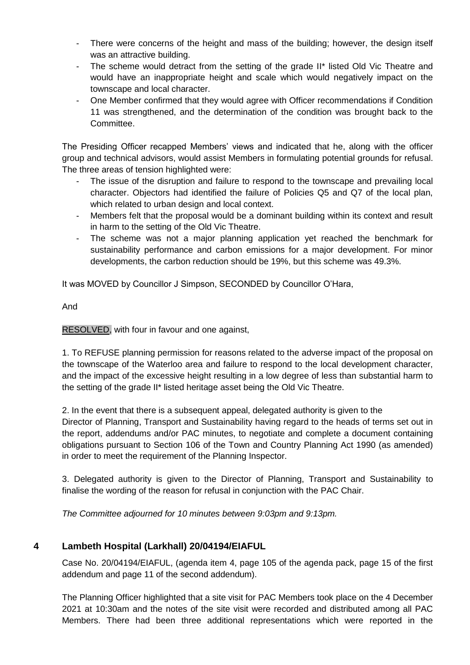- There were concerns of the height and mass of the building; however, the design itself was an attractive building.
- The scheme would detract from the setting of the grade II<sup>\*</sup> listed Old Vic Theatre and would have an inappropriate height and scale which would negatively impact on the townscape and local character.
- One Member confirmed that they would agree with Officer recommendations if Condition 11 was strengthened, and the determination of the condition was brought back to the Committee.

The Presiding Officer recapped Members' views and indicated that he, along with the officer group and technical advisors, would assist Members in formulating potential grounds for refusal. The three areas of tension highlighted were:

- The issue of the disruption and failure to respond to the townscape and prevailing local character. Objectors had identified the failure of Policies Q5 and Q7 of the local plan, which related to urban design and local context.
- Members felt that the proposal would be a dominant building within its context and result in harm to the setting of the Old Vic Theatre.
- The scheme was not a major planning application yet reached the benchmark for sustainability performance and carbon emissions for a major development. For minor developments, the carbon reduction should be 19%, but this scheme was 49.3%.

It was MOVED by Councillor J Simpson, SECONDED by Councillor O'Hara,

And

RESOLVED, with four in favour and one against,

1. To REFUSE planning permission for reasons related to the adverse impact of the proposal on the townscape of the Waterloo area and failure to respond to the local development character, and the impact of the excessive height resulting in a low degree of less than substantial harm to the setting of the grade II\* listed heritage asset being the Old Vic Theatre.

2. In the event that there is a subsequent appeal, delegated authority is given to the Director of Planning, Transport and Sustainability having regard to the heads of terms set out in the report, addendums and/or PAC minutes, to negotiate and complete a document containing obligations pursuant to Section 106 of the Town and Country Planning Act 1990 (as amended) in order to meet the requirement of the Planning Inspector.

3. Delegated authority is given to the Director of Planning, Transport and Sustainability to finalise the wording of the reason for refusal in conjunction with the PAC Chair.

*The Committee adjourned for 10 minutes between 9:03pm and 9:13pm.*

# **4 Lambeth Hospital (Larkhall) 20/04194/EIAFUL**

Case No. 20/04194/EIAFUL, (agenda item 4, page 105 of the agenda pack, page 15 of the first addendum and page 11 of the second addendum).

The Planning Officer highlighted that a site visit for PAC Members took place on the 4 December 2021 at 10:30am and the notes of the site visit were recorded and distributed among all PAC Members. There had been three additional representations which were reported in the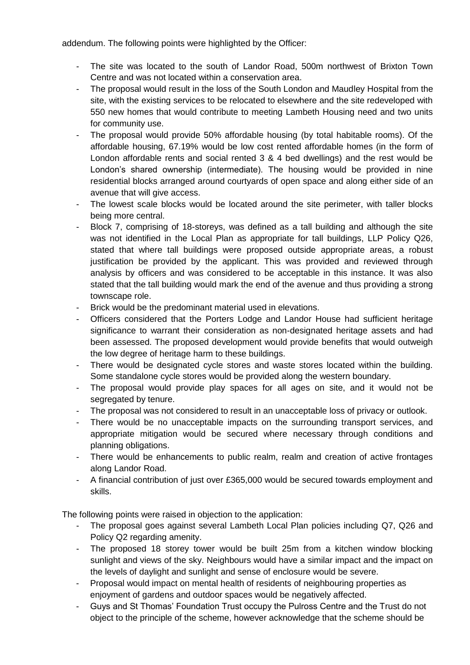addendum. The following points were highlighted by the Officer:

- The site was located to the south of Landor Road, 500m northwest of Brixton Town Centre and was not located within a conservation area.
- The proposal would result in the loss of the South London and Maudley Hospital from the site, with the existing services to be relocated to elsewhere and the site redeveloped with 550 new homes that would contribute to meeting Lambeth Housing need and two units for community use.
- The proposal would provide 50% affordable housing (by total habitable rooms). Of the affordable housing, 67.19% would be low cost rented affordable homes (in the form of London affordable rents and social rented 3 & 4 bed dwellings) and the rest would be London's shared ownership (intermediate). The housing would be provided in nine residential blocks arranged around courtyards of open space and along either side of an avenue that will give access.
- The lowest scale blocks would be located around the site perimeter, with taller blocks being more central.
- Block 7, comprising of 18-storeys, was defined as a tall building and although the site was not identified in the Local Plan as appropriate for tall buildings, LLP Policy Q26, stated that where tall buildings were proposed outside appropriate areas, a robust justification be provided by the applicant. This was provided and reviewed through analysis by officers and was considered to be acceptable in this instance. It was also stated that the tall building would mark the end of the avenue and thus providing a strong townscape role.
- Brick would be the predominant material used in elevations.
- Officers considered that the Porters Lodge and Landor House had sufficient heritage significance to warrant their consideration as non-designated heritage assets and had been assessed. The proposed development would provide benefits that would outweigh the low degree of heritage harm to these buildings.
- There would be designated cycle stores and waste stores located within the building. Some standalone cycle stores would be provided along the western boundary.
- The proposal would provide play spaces for all ages on site, and it would not be segregated by tenure.
- The proposal was not considered to result in an unacceptable loss of privacy or outlook.
- There would be no unacceptable impacts on the surrounding transport services, and appropriate mitigation would be secured where necessary through conditions and planning obligations.
- There would be enhancements to public realm, realm and creation of active frontages along Landor Road.
- A financial contribution of just over £365,000 would be secured towards employment and skills.

The following points were raised in objection to the application:

- The proposal goes against several Lambeth Local Plan policies including Q7, Q26 and Policy Q2 regarding amenity.
- The proposed 18 storey tower would be built 25m from a kitchen window blocking sunlight and views of the sky. Neighbours would have a similar impact and the impact on the levels of daylight and sunlight and sense of enclosure would be severe.
- Proposal would impact on mental health of residents of neighbouring properties as enjoyment of gardens and outdoor spaces would be negatively affected.
- Guys and St Thomas' Foundation Trust occupy the Pulross Centre and the Trust do not object to the principle of the scheme, however acknowledge that the scheme should be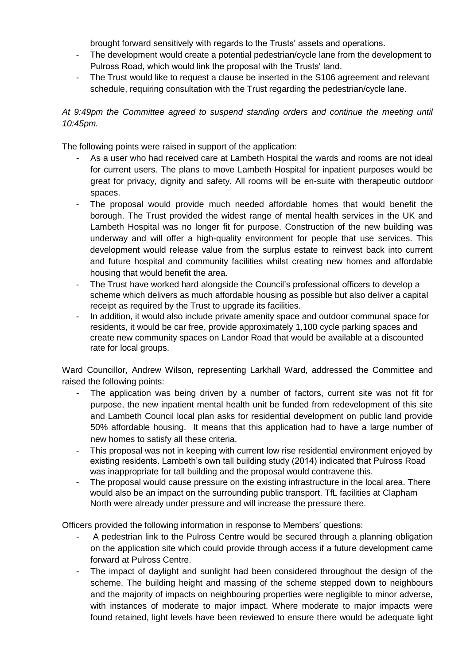brought forward sensitively with regards to the Trusts' assets and operations.

- The development would create a potential pedestrian/cycle lane from the development to Pulross Road, which would link the proposal with the Trusts' land.
- The Trust would like to request a clause be inserted in the S106 agreement and relevant schedule, requiring consultation with the Trust regarding the pedestrian/cycle lane.

### *At 9:49pm the Committee agreed to suspend standing orders and continue the meeting until 10:45pm.*

The following points were raised in support of the application:

- As a user who had received care at Lambeth Hospital the wards and rooms are not ideal for current users. The plans to move Lambeth Hospital for inpatient purposes would be great for privacy, dignity and safety. All rooms will be en-suite with therapeutic outdoor spaces.
- The proposal would provide much needed affordable homes that would benefit the borough. The Trust provided the widest range of mental health services in the UK and Lambeth Hospital was no longer fit for purpose. Construction of the new building was underway and will offer a high-quality environment for people that use services. This development would release value from the surplus estate to reinvest back into current and future hospital and community facilities whilst creating new homes and affordable housing that would benefit the area.
- The Trust have worked hard alongside the Council's professional officers to develop a scheme which delivers as much affordable housing as possible but also deliver a capital receipt as required by the Trust to upgrade its facilities.
- In addition, it would also include private amenity space and outdoor communal space for residents, it would be car free, provide approximately 1,100 cycle parking spaces and create new community spaces on Landor Road that would be available at a discounted rate for local groups.

Ward Councillor, Andrew Wilson, representing Larkhall Ward, addressed the Committee and raised the following points:

- The application was being driven by a number of factors, current site was not fit for purpose, the new inpatient mental health unit be funded from redevelopment of this site and Lambeth Council local plan asks for residential development on public land provide 50% affordable housing. It means that this application had to have a large number of new homes to satisfy all these criteria.
- This proposal was not in keeping with current low rise residential environment enjoyed by existing residents. Lambeth's own tall building study (2014) indicated that Pulross Road was inappropriate for tall building and the proposal would contravene this.
- The proposal would cause pressure on the existing infrastructure in the local area. There would also be an impact on the surrounding public transport. TfL facilities at Clapham North were already under pressure and will increase the pressure there.

Officers provided the following information in response to Members' questions:

- A pedestrian link to the Pulross Centre would be secured through a planning obligation on the application site which could provide through access if a future development came forward at Pulross Centre.
- The impact of daylight and sunlight had been considered throughout the design of the scheme. The building height and massing of the scheme stepped down to neighbours and the majority of impacts on neighbouring properties were negligible to minor adverse, with instances of moderate to major impact. Where moderate to major impacts were found retained, light levels have been reviewed to ensure there would be adequate light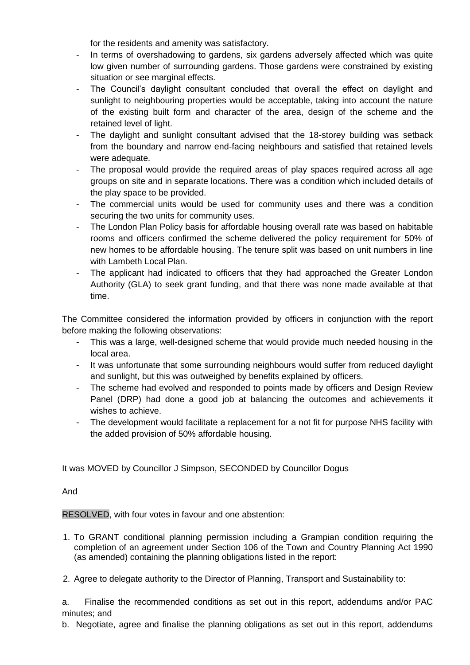for the residents and amenity was satisfactory.

- In terms of overshadowing to gardens, six gardens adversely affected which was quite low given number of surrounding gardens. Those gardens were constrained by existing situation or see marginal effects.
- The Council's daylight consultant concluded that overall the effect on daylight and sunlight to neighbouring properties would be acceptable, taking into account the nature of the existing built form and character of the area, design of the scheme and the retained level of light.
- The daylight and sunlight consultant advised that the 18-storey building was setback from the boundary and narrow end-facing neighbours and satisfied that retained levels were adequate.
- The proposal would provide the required areas of play spaces required across all age groups on site and in separate locations. There was a condition which included details of the play space to be provided.
- The commercial units would be used for community uses and there was a condition securing the two units for community uses.
- The London Plan Policy basis for affordable housing overall rate was based on habitable rooms and officers confirmed the scheme delivered the policy requirement for 50% of new homes to be affordable housing. The tenure split was based on unit numbers in line with Lambeth Local Plan.
- The applicant had indicated to officers that they had approached the Greater London Authority (GLA) to seek grant funding, and that there was none made available at that time.

The Committee considered the information provided by officers in conjunction with the report before making the following observations:

- This was a large, well-designed scheme that would provide much needed housing in the local area.
- It was unfortunate that some surrounding neighbours would suffer from reduced daylight and sunlight, but this was outweighed by benefits explained by officers.
- The scheme had evolved and responded to points made by officers and Design Review Panel (DRP) had done a good job at balancing the outcomes and achievements it wishes to achieve.
- The development would facilitate a replacement for a not fit for purpose NHS facility with the added provision of 50% affordable housing.

It was MOVED by Councillor J Simpson, SECONDED by Councillor Dogus

And

RESOLVED, with four votes in favour and one abstention:

- 1. To GRANT conditional planning permission including a Grampian condition requiring the completion of an agreement under Section 106 of the Town and Country Planning Act 1990 (as amended) containing the planning obligations listed in the report:
- 2. Agree to delegate authority to the Director of Planning, Transport and Sustainability to:

a. Finalise the recommended conditions as set out in this report, addendums and/or PAC minutes; and

b. Negotiate, agree and finalise the planning obligations as set out in this report, addendums